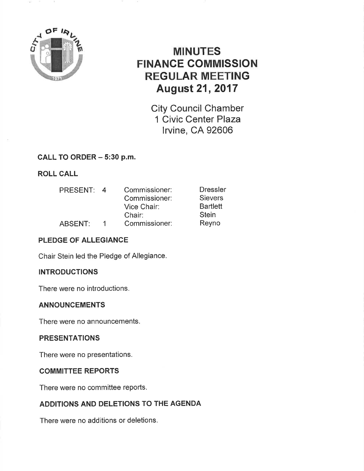

# MINUTES FINANCE COMMISSION REGULAR MEETING August 21, 2017

City Council Chamber 1 Civic Center Plaza lrvine, CA 92606

### CALL TO ORDER - 5:30 p.m.

ROLL CALL

| PRESENT: | $\overline{a}$ | Commissioner: | <b>Dressler</b> |
|----------|----------------|---------------|-----------------|
|          |                | Commissioner: | <b>Sievers</b>  |
|          |                | Vice Chair:   | <b>Bartlett</b> |
|          |                | Chair:        | <b>Stein</b>    |
| ABSENT:  | 1              | Commissioner: | Reyno           |

### PLEDGE OF ALLEGIANCE

Chair Stein led the Pledge of Allegiance.

### INTRODUCTIONS

There were no introductions.

### ANNOUNCEMENTS

There were no announcements.

### PRESENTATIONS

There were no presentations.

### COMMITTEE REPORTS

There were no committee reports.

### ADDITIONS AND DELETIONS TO THE AGENDA

There were no additions or deletions.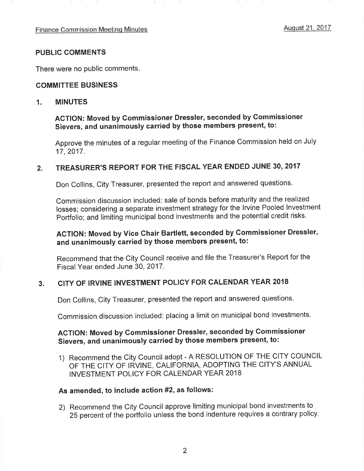#### PUBLIC COMMENTS

There were no public comments

#### COMMITTEE BUSINESS

#### 1. MINUTES

## ACTION: Moved by Commissioner Dressler, seconded by Commissioner Sievers, and unanimously carried by those members present, to:

Approve the minutes of a regular meeting of the Finance Commission held on July 17 ,2017.

#### 2. TREASURER'S REPORT FOR THE FISCAL YEAR ENDED JUNE 30,2017

Don Collins, City Treasurer, presented the report and answered questions.

Commission discussion included: sale of bonds before maturity and the realized losses; considering a separate investment strategy for the lrvine Pooled lnvestment Portfolio; and limiting municipal bond investments and the potential credit risks.

### ACTION: Moved by Vice Ghair Bartlett, seconded by Gommissioner Dressler, and unanimously carried by those members present, to:

Recommend that the City Council receive and file the Treasurer's Report for the Fiscal Year ended June 30,2017.

### 3. CITY OF IRVINE INVESTMENT POLICY FOR CALENDAR YEAR <sup>2018</sup>

Don Collins, City Treasurer, presented the report and answered questions.

Commission discussion included: placing a limit on municipal bond investments.

### AGTION: Moved by Commissioner Dressler, seconded by Gommissioner Sievers, and unanimously carried by those members present, to:

1) Recommend the City Council adopt - A RESOLUTION OF THE CITY COUNCIL OF THE CITY OF IRVINE, CALIFORNIA, ADOPTING THE CITY'S ANNUAL INVESTMENT POLICY FOR CALENDAR YEAR 2018

### As amended, to include action #2, as follows:

2) Recommend the City Council approve limiting municipal bond investments to 25 percent of the portfolio unless the bond indenture requires a contrary policy.